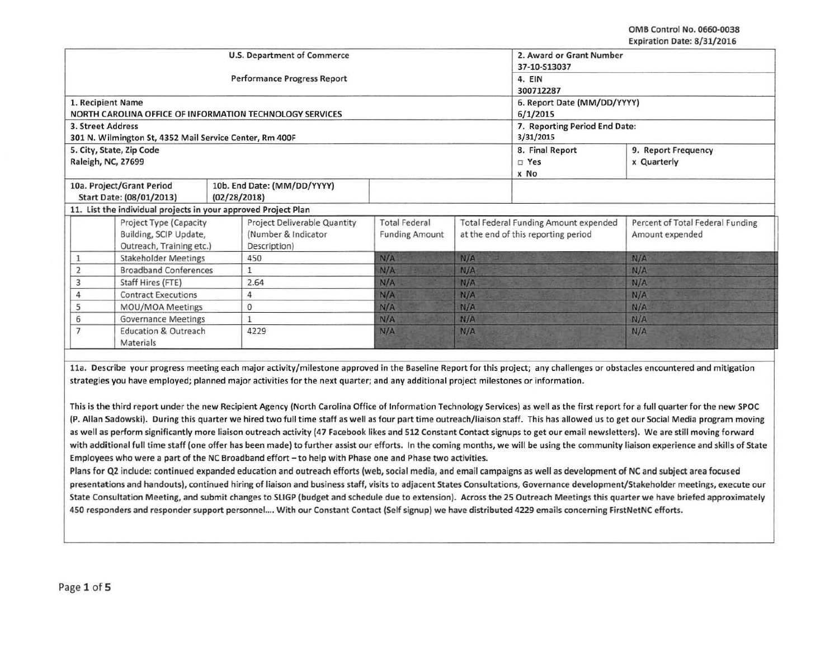OMS Control No. 0660-0038 Expiration Date: 8/31/2016

|                                          |                                                                |                                                          |                               |                                     |                                              | L                                                   |  |
|------------------------------------------|----------------------------------------------------------------|----------------------------------------------------------|-------------------------------|-------------------------------------|----------------------------------------------|-----------------------------------------------------|--|
|                                          |                                                                | U.S. Department of Commerce                              | 2. Award or Grant Number      |                                     |                                              |                                                     |  |
|                                          |                                                                |                                                          | 37-10-S13037                  |                                     |                                              |                                                     |  |
|                                          |                                                                | <b>Performance Progress Report</b>                       | 4. EIN                        |                                     |                                              |                                                     |  |
|                                          |                                                                |                                                          | 300712287                     |                                     |                                              |                                                     |  |
|                                          | 1. Recipient Name                                              |                                                          | 6. Report Date (MM/DD/YYYY)   |                                     |                                              |                                                     |  |
|                                          |                                                                | NORTH CAROLINA OFFICE OF INFORMATION TECHNOLOGY SERVICES | 6/1/2015                      |                                     |                                              |                                                     |  |
|                                          | 3. Street Address                                              |                                                          | 7. Reporting Period End Date: |                                     |                                              |                                                     |  |
|                                          | 301 N. Wilmington St, 4352 Mail Service Center, Rm 400F        |                                                          | 3/31/2015                     |                                     |                                              |                                                     |  |
|                                          | 5. City, State, Zip Code                                       |                                                          |                               |                                     | 8. Final Report                              | 9. Report Frequency                                 |  |
|                                          | Raleigh, NC, 27699                                             |                                                          |                               |                                     | D Yes                                        | x Quarterly                                         |  |
|                                          |                                                                |                                                          |                               |                                     | x No                                         |                                                     |  |
|                                          | 10a. Project/Grant Period                                      | 10b. End Date: (MM/DD/YYYY)                              |                               |                                     |                                              |                                                     |  |
| Start Date: (08/01/2013)<br>(02/28/2018) |                                                                |                                                          |                               |                                     |                                              |                                                     |  |
|                                          | 11. List the individual projects in your approved Project Plan |                                                          |                               |                                     |                                              |                                                     |  |
|                                          | Project Type (Capacity                                         | Project Deliverable Quantity                             | <b>Total Federal</b>          |                                     | <b>Total Federal Funding Amount expended</b> | Percent of Total Federal Funding<br>Amount expended |  |
|                                          | Building, SCIP Update,                                         | (Number & Indicator                                      | <b>Funding Amount</b>         | at the end of this reporting period |                                              |                                                     |  |
|                                          | Outreach, Training etc.)                                       | Description)                                             |                               |                                     |                                              |                                                     |  |
| 1                                        | <b>Stakeholder Meetings</b>                                    | 450                                                      | N/A                           | N/A                                 |                                              | N/A                                                 |  |
|                                          | <b>Broadband Conferences</b>                                   |                                                          | N/A                           | N/A                                 |                                              | N/A                                                 |  |
| 3                                        | Staff Hires (FTE)                                              | 2.64                                                     | N/A                           | N/A                                 |                                              | N/A                                                 |  |
|                                          | <b>Contract Executions</b>                                     | 4                                                        | N/A                           | N/A                                 |                                              | N/A                                                 |  |
| 5                                        | MOU/MOA Meetings                                               | $\mathbf 0$                                              | N/A                           | N/A                                 |                                              | N/A                                                 |  |
| 6                                        | <b>Governance Meetings</b>                                     |                                                          | N/A                           | N/A                                 |                                              | N/A                                                 |  |
|                                          | <b>Education &amp; Outreach</b><br>Materials                   | 4229                                                     | N/A                           | N/A                                 |                                              | N/A                                                 |  |

lla. Describe your progress meeting each major activity/milestone approved in the Baseline Report for this project; any challenges or obstacles encountered and mitigation strategies you have employed; planned major activities for the next quarter; and any additional project milestones or information.

This is the third report under the new Recipient Agency (North Carolina Office of Information Technology Services) as well as the first report for a full quarter for the new SPOC (P. Allan Sadowski). During this quarter we hired two full time staff as well as four part time outreach/liaison staff. This has allowed us to get our Social Media program moving as well as perform significantly more liaison outreach activity (47 Facebook likes and 512 Constant Contact signups to get our email newsletters). We are still moving forward with additional full time staff (one offer has been made) to further assist our efforts. In the coming months, we will be using the community liaison experience and skills of State Employees who were a part of the NC Broadband effort- to help with Phase one and Phase two activities.

Plans for QZ include: continued expanded education and outreach efforts (web, social media, and email campaigns as well as development of NC and subject area focused presentations and handouts), continued hiring of liaison and business staff, visits to adjacent States Consultations, Governance development/Stakeholder meetings, execute our State Consultation Meeting, and submit changes to SLIGP (budget and schedule due to extension). Across the 25 Outreach Meetings this quarter we have briefed approximately 450 responders and responder support personnel.... With our Constant Contact (Self signup) we have distributed 4229 emails concerning FirstNetNC efforts.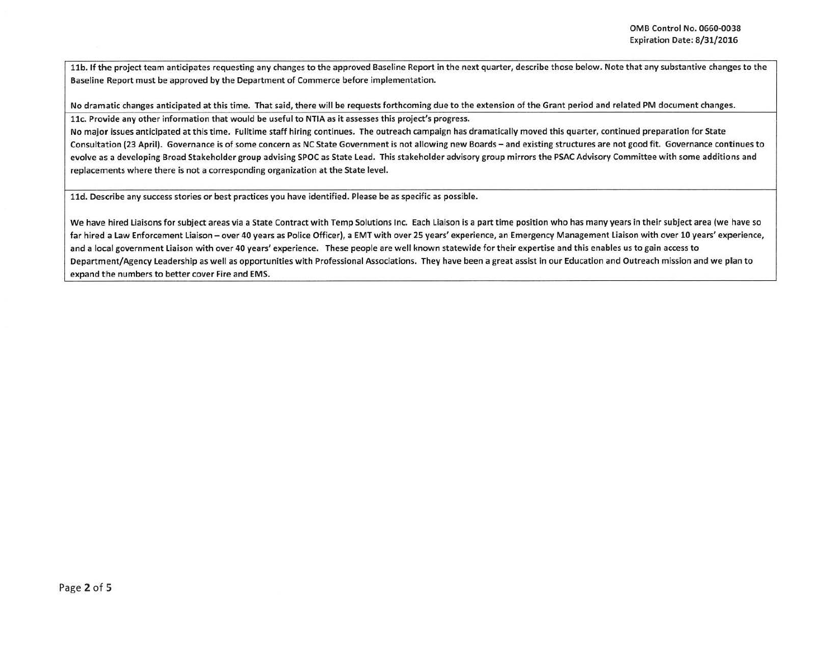11b. If the project team anticipates requesting any changes to the approved Baseline Report in the next quarter, describe those below. Note that any substantive changes to the Baseline Report must be approved by the Department of Commerce before implementation.

No dramatic changes anticipated at this time. That said, there will be requests forthcoming due to the extension of the Grant period and related PM document changes. llc. Provide any other information that would be useful to NTIA as it assesses this project's progress.

No major issues anticipated at this time. Fulltime staff hiring continues. The outreach campaign has dramatically moved this quarter, continued preparation for State Consultation {23 April). Governance is of some concern as NC State Government is not allowing new Boards- and existing structures are not good fit. Governance continues to evolve as a developing Broad Stakeholder group advising SPOC as State lead. This stakeholder advisory group mirrors the PSAC Advisory Committee with some additions and replacements where there is not a corresponding organization at the State level.

lld. Describe any success stories or best practices you have identified. Please be as specific as possible.

We have hired liaisons for subject areas via a State Contract with Temp Solutions Inc. Each liaison is a part time position who has many years in their subject area (we have so far hired a Law Enforcement Liaison - over 40 years as Police Officer), a EMT with over 25 years' experience, an Emergency Management Liaison with over 10 years' experience, and a local government liaison with over 40 years' experience. These people are well known statewide for their expertise and this enables us to gain access to Department/Agency leadership as well as opportunities with Professional Associations. They have been a great assist in our Education and Outreach mission and we plan to expand the numbers to better cover Fire and EMS.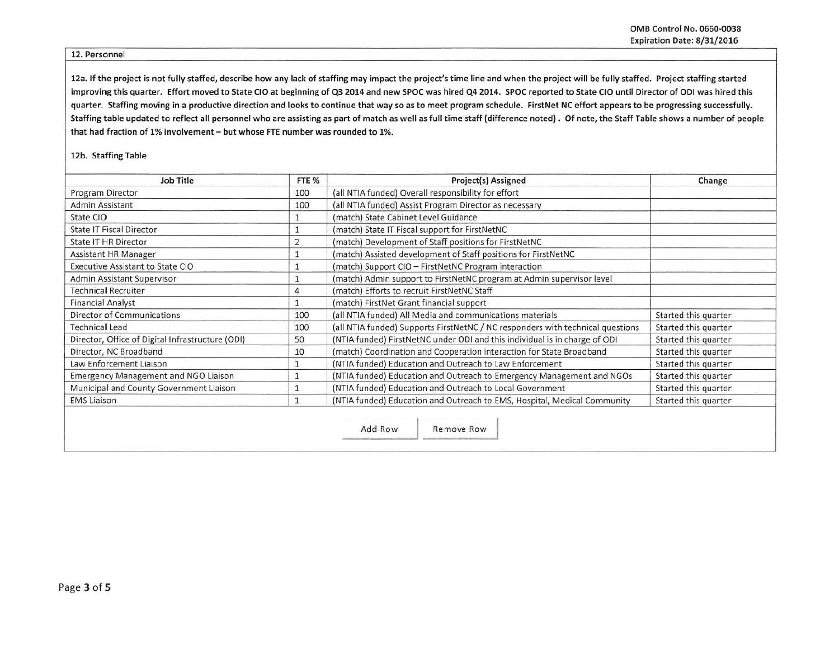i

## 12. Personnel

12a. If the project is not fully staffed, describe how any lack of staffing may impact the project's time line and when the project will be fully staffed. Project staffing started improving this quarter. Effort moved to State CIO at beginning of Q3 2014 and new SPOC was hired Q4 2014. SPOC reported to State CIO until Director of ODI was hired this quarter. Staffing moving in a productive direction and looks to continue that way so as to meet program schedule. FirstNet NC effort appears to be progressing successfully. Staffing table updated to reflect all personnel who are assisting as part of match as well as full time staff (difference noted} . Of note, the Staff Table shows a number of people that had fraction of 1% involvement- but whose FTE number was rounded to 1%.

## 12b. Staffing Table

| <b>Job Title</b>                                 | FTE <sub>%</sub>                                                                 | Project(s) Assigned                                                            | Change               |
|--------------------------------------------------|----------------------------------------------------------------------------------|--------------------------------------------------------------------------------|----------------------|
| Program Director                                 | 100                                                                              | (all NTIA funded) Overall responsibility for effort                            |                      |
| Admin Assistant                                  | 100                                                                              | (all NTIA funded) Assist Program Director as necessary                         |                      |
| State CIO                                        |                                                                                  | (match) State Cabinet Level Guidance                                           |                      |
| <b>State IT Fiscal Director</b>                  |                                                                                  | (match) State IT Fiscal support for FirstNetNC                                 |                      |
| <b>State IT HR Director</b>                      | 2                                                                                | (match) Development of Staff positions for FirstNetNC                          |                      |
| Assistant HR Manager                             |                                                                                  | (match) Assisted development of Staff positions for FirstNetNC                 |                      |
| Executive Assistant to State CIO                 |                                                                                  | (match) Support CIO - FirstNetNC Program interaction                           |                      |
| Admin Assistant Supervisor                       |                                                                                  | (match) Admin support to FirstNetNC program at Admin supervisor level          |                      |
| <b>Technical Recruiter</b>                       | 4                                                                                | (match) Efforts to recruit FirstNetNC Staff                                    |                      |
| <b>Financial Analyst</b>                         |                                                                                  | (match) FirstNet Grant financial support                                       |                      |
| Director of Communications                       | 100                                                                              | (all NTIA funded) All Media and communications materials                       | Started this quarter |
| <b>Technical Lead</b>                            | 100                                                                              | (all NTIA funded) Supports FirstNetNC / NC responders with technical questions | Started this quarter |
| Director, Office of Digital Infrastructure (ODI) | (NTIA funded) FirstNetNC under ODI and this individual is in charge of ODI<br>50 |                                                                                | Started this quarter |
| Director, NC Broadband<br>10                     |                                                                                  | (match) Coordination and Cooperation interaction for State Broadband           | Started this quarter |
| Law Enforcement Liaison                          |                                                                                  | (NTIA funded) Education and Outreach to Law Enforcement                        | Started this quarter |
| Emergency Management and NGO Liaison             |                                                                                  | (NTIA funded) Education and Outreach to Emergency Management and NGOs          | Started this quarter |
| Municipal and County Government Liaison          | $\mathbf{1}$                                                                     | (NTIA funded) Education and Outreach to Local Government                       | Started this quarter |
| <b>EMS Liaison</b>                               | $\mathbf{1}$                                                                     | (NTIA funded) Education and Outreach to EMS, Hospital, Medical Community       | Started this quarter |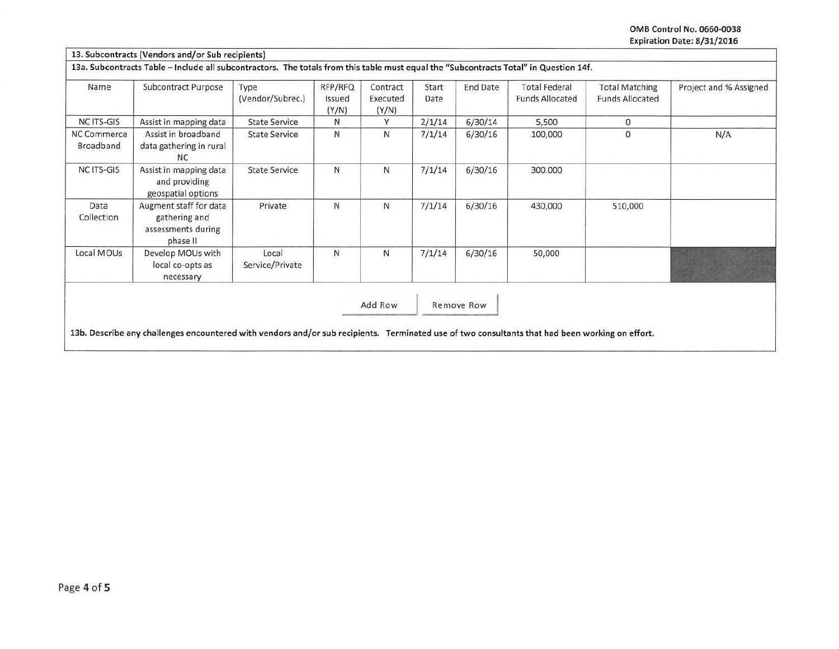OMB Control No. 0660-0038 Expiration Date: 8/31/2016

| Name                            | Subcontract Purpose                                                       | Type<br>(Vendor/Subrec.) | RFP/RFQ<br>Issued<br>(Y/N) | Contract<br>Executed<br>(Y/N) | Start<br>Date | End Date   | <b>Total Federal</b><br><b>Funds Allocated</b> | <b>Total Matching</b><br><b>Funds Allocated</b> | Project and % Assigned |
|---------------------------------|---------------------------------------------------------------------------|--------------------------|----------------------------|-------------------------------|---------------|------------|------------------------------------------------|-------------------------------------------------|------------------------|
| <b>NC ITS-GIS</b>               | Assist in mapping data                                                    | <b>State Service</b>     | N                          | Y                             | 2/1/14        | 6/30/14    | 5,500                                          | $\mathbf{0}$                                    |                        |
| <b>NC Commerce</b><br>Broadband | Assist in broadband<br>data gathering in rural<br><b>NC</b>               | <b>State Service</b>     | N                          | N                             | 7/1/14        | 6/30/16    | 100,000                                        | $\mathbf{0}$                                    | N/A                    |
| <b>NC ITS-GIS</b>               | Assist in mapping data<br>and providing<br>geospatial options             | <b>State Service</b>     | N                          | N                             | 7/1/14        | 6/30/16    | 300.000                                        |                                                 |                        |
| Data<br>Collection              | Augment staff for data<br>gathering and<br>assessments during<br>phase II | Private                  | N                          | N.                            | 7/1/14        | 6/30/16    | 430,000                                        | 510,000                                         |                        |
| Local MOUs                      | Develop MOUs with<br>local co-opts as<br>necessary                        | Local<br>Service/Private | N                          | N                             | 7/1/14        | 6/30/16    | 50,000                                         |                                                 |                        |
|                                 |                                                                           |                          |                            | Add Row                       |               | Remove Row |                                                |                                                 |                        |